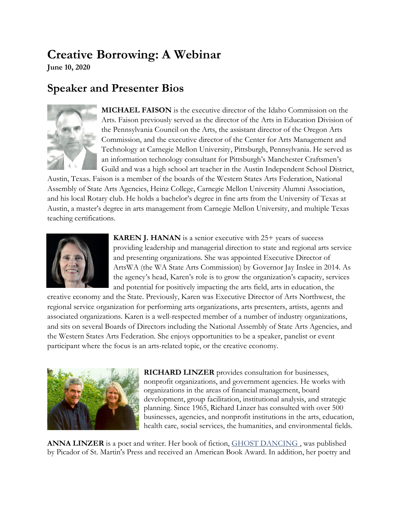## **Creative Borrowing: A Webinar**

**June 10, 2020**

## **Speaker and Presenter Bios**



**MICHAEL FAISON** is the executive director of the Idaho Commission on the Arts. Faison previously served as the director of the Arts in Education Division of the Pennsylvania Council on the Arts, the assistant director of the Oregon Arts Commission, and the executive director of the Center for Arts Management and Technology at Carnegie Mellon University, Pittsburgh, Pennsylvania. He served as an information technology consultant for Pittsburgh's Manchester Craftsmen's Guild and was a high school art teacher in the Austin Independent School District,

Austin, Texas. Faison is a member of the boards of the Western States Arts Federation, National Assembly of State Arts Agencies, Heinz College, Carnegie Mellon University Alumni Association, and his local Rotary club. He holds a bachelor's degree in fine arts from the University of Texas at Austin, a master's degree in arts management from Carnegie Mellon University, and multiple Texas teaching certifications.



**KAREN J. HANAN** is a senior executive with 25+ years of success providing leadership and managerial direction to state and regional arts service and presenting organizations. She was appointed Executive Director of ArtsWA (the WA State Arts Commission) by Governor Jay Inslee in 2014. As the agency's head, Karen's role is to grow the organization's capacity, services and potential for positively impacting the arts field, arts in education, the

creative economy and the State. Previously, Karen was Executive Director of Arts Northwest, the regional service organization for performing arts organizations, arts presenters, artists, agents and associated organizations. Karen is a well-respected member of a number of industry organizations, and sits on several Boards of Directors including the National Assembly of State Arts Agencies, and the Western States Arts Federation. She enjoys opportunities to be a speaker, panelist or event participant where the focus is an arts-related topic, or the creative economy.



**RICHARD LINZER** provides consultation for businesses, nonprofit organizations, and government agencies. He works with organizations in the areas of financial management, board development, group facilitation, institutional analysis, and strategic planning. Since 1965, Richard Linzer has consulted with over 500 businesses, agencies, and nonprofit institutions in the arts, education, health care, social services, the humanities, and environmental fields.

ANNA LINZER is a poet and writer. Her book of fiction, **[GHOST DANCING](http://www.amazon.com/Ghost-Dancing-Novel-Anna-Linzer/dp/0312204108/sr=1-1/qid=1161541182/ref=sr_1_1/104-5658240-3782340?ie=UTF8&s=books)**, was published by Picador of St. Martin's Press and received an American Book Award. In addition, her poetry and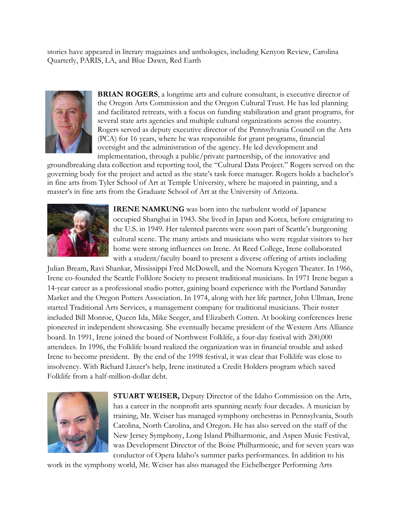stories have appeared in literary magazines and anthologies, including Kenyon Review, Carolina Quarterly, PARIS, LA, and Blue Dawn, Red Earth



**BRIAN ROGERS**, a longtime arts and culture consultant, is executive director of the Oregon Arts Commission and the Oregon Cultural Trust. He has led planning and facilitated retreats, with a focus on funding stabilization and grant programs, for several state arts agencies and multiple cultural organizations across the country. Rogers served as deputy executive director of the Pennsylvania Council on the Arts (PCA) for 16 years, where he was responsible for grant programs, financial oversight and the administration of the agency. He led development and implementation, through a public/private partnership, of the innovative and

groundbreaking data collection and reporting tool, the "Cultural Data Project." Rogers served on the governing body for the project and acted as the state's task force manager. Rogers holds a bachelor's in fine arts from Tyler School of Art at Temple University, where he majored in painting, and a master's in fine arts from the Graduate School of Art at the University of Arizona.



**IRENE NAMKUNG** was born into the turbulent world of Japanese occupied Shanghai in 1943. She lived in Japan and Korea, before emigrating to the U.S. in 1949. Her talented parents were soon part of Seattle's burgeoning cultural scene. The many artists and musicians who were regular visitors to her home were strong influences on Irene. At Reed College, Irene collaborated with a student/faculty board to present a diverse offering of artists including

Julian Bream, Ravi Shankar, Mississippi Fred McDowell, and the Nomura Kyogen Theater. In 1966, Irene co-founded the Seattle Folklore Society to present traditional musicians. In 1971 Irene began a 14-year career as a professional studio potter, gaining board experience with the Portland Saturday Market and the Oregon Potters Association. In 1974, along with her life partner, John Ullman, Irene started Traditional Arts Services, a management company for traditional musicians. Their roster included Bill Monroe, Queen Ida, Mike Seeger, and Elizabeth Cotten. At booking conferences Irene pioneered in independent showcasing. She eventually became president of the Western Arts Alliance board. In 1991, Irene joined the board of Northwest Folklife, a four-day festival with 200,000 attendees. In 1996, the Folklife board realized the organization was in financial trouble and asked Irene to become president. By the end of the 1998 festival, it was clear that Folklife was close to insolvency. With Richard Linzer's help, Irene instituted a Credit Holders program which saved Folklife from a half-million-dollar debt.



**STUART WEISER,** Deputy Director of the Idaho Commission on the Arts, has a career in the nonprofit arts spanning nearly four decades. A musician by training, Mr. Weiser has managed symphony orchestras in Pennsylvania, South Carolina, North Carolina, and Oregon. He has also served on the staff of the New Jersey Symphony, Long Island Philharmonic, and Aspen Music Festival, was Development Director of the Boise Philharmonic, and for seven years was conductor of Opera Idaho's summer parks performances. In addition to his

work in the symphony world, Mr. Weiser has also managed the Eichelberger Performing Arts